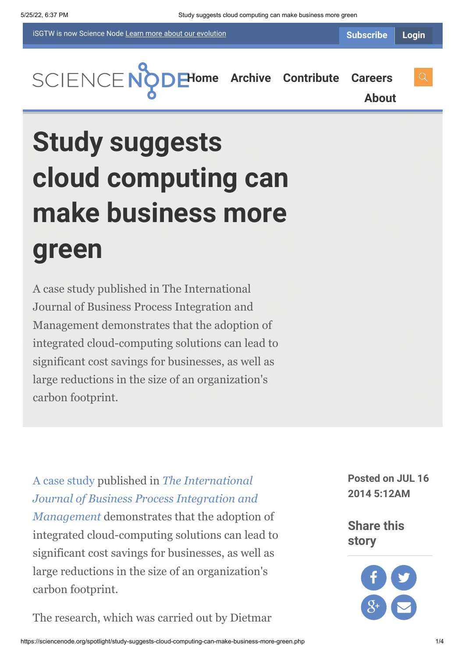iSGTW is now Science Node [Learn more about](https://sciencenode.org/about/index.php#history) our evolution

**[H](https://sciencenode.org/index.php)[ome](https://sciencenode.org/) [Archive](https://sciencenode.org/archive/index.php) [Contribute](https://sciencenode.org/contribute/index.php) [Careers](https://sciencenode.org/careers/index.php)**

**[About](https://sciencenode.org/about/index.php)**

# **Study suggests cloud computing can make business more green**

A case study published in The International Journal of Business Process Integration and Management demonstrates that the adoption of integrated cloud-computing solutions can lead to significant cost savings for businesses, as well as large reductions in the size of an organization's carbon footprint.

[A case study](http://www.inderscience.com/index.php) published in *The International [Journal of Business Process Integration and](http://www.inderscience.com/jhome.php?jcode=ijbpim) Management* demonstrates that the adoption of integrated cloud-computing solutions can lead to significant cost savings for businesses, as well as large reductions in the size of an organization's carbon footprint.

The research, which was carried out by Dietmar

**Posted on JUL 16 2014 5:12AM**

**Share this story**

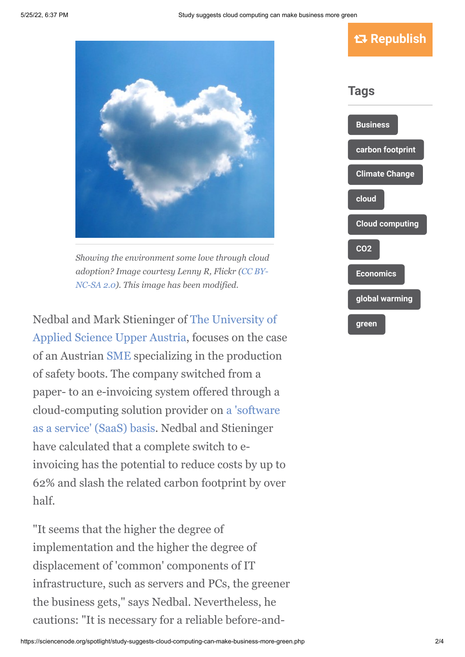



*Showing the environment some love through cloud [adoption? Image courtesy Lenny R, Flickr \(CC BY-](https://creativecommons.org/licenses/by-nc-sa/2.0/)NC-SA 2.0). This image has been modified.*

[Nedbal and Mark Stieninger of The University of](http://www-en.fh-ooe.at/) Applied Science Upper Austria, focuses on the case of an Austrian [SME](http://en.wikipedia.org/wiki/Small_and_medium_enterprises) specializing in the production of safety boots. The company switched from a paper- to an e-invoicing system offered through a [cloud-computing solution provider on a 'software](http://en.wikipedia.org/wiki/Software_as_a_service) as a service' (SaaS) basis. Nedbal and Stieninger have calculated that a complete switch to einvoicing has the potential to reduce costs by up to 62% and slash the related carbon footprint by over half.

"It seems that the higher the degree of implementation and the higher the degree of displacement of 'common' components of IT infrastructure, such as servers and PCs, the greener the business gets," says Nedbal. Nevertheless, he cautions: "It is necessary for a reliable before-and-

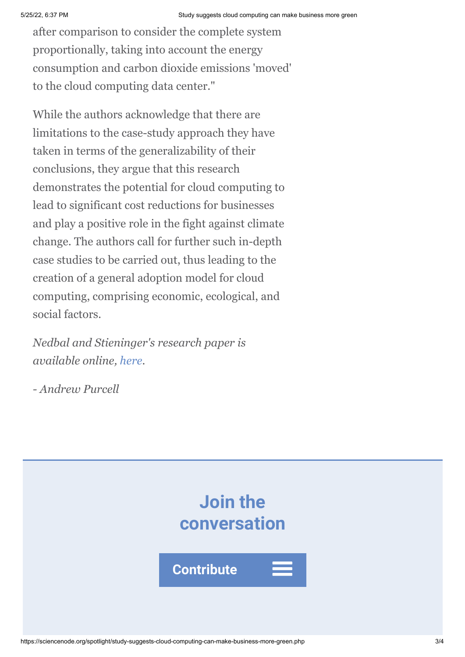after comparison to consider the complete system proportionally, taking into account the energy consumption and carbon dioxide emissions 'moved' to the cloud computing data center."

While the authors acknowledge that there are limitations to the case-study approach they have taken in terms of the generalizability of their conclusions, they argue that this research demonstrates the potential for cloud computing to lead to significant cost reductions for businesses and play a positive role in the fight against climate change. The authors call for further such in-depth case studies to be carried out, thus leading to the creation of a general adoption model for cloud computing, comprising economic, ecological, and social factors.

*Nedbal and Stieninger's research paper is available online, [here](http://www.inderscience.com/index.php).*

*- Andrew Purcell*